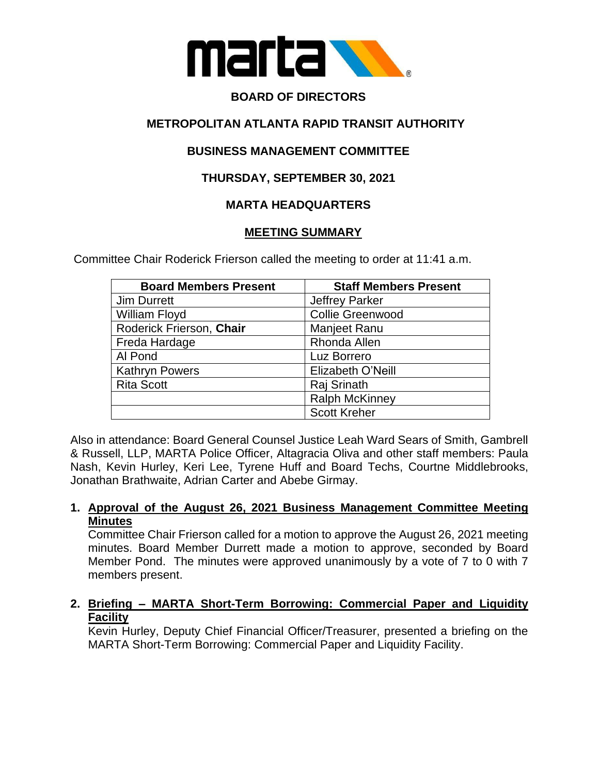

# **BOARD OF DIRECTORS**

# **METROPOLITAN ATLANTA RAPID TRANSIT AUTHORITY**

# **BUSINESS MANAGEMENT COMMITTEE**

## **THURSDAY, SEPTEMBER 30, 2021**

## **MARTA HEADQUARTERS**

#### **MEETING SUMMARY**

Committee Chair Roderick Frierson called the meeting to order at 11:41 a.m.

| <b>Board Members Present</b> | <b>Staff Members Present</b> |
|------------------------------|------------------------------|
| Jim Durrett                  | <b>Jeffrey Parker</b>        |
| William Floyd                | <b>Collie Greenwood</b>      |
| Roderick Frierson, Chair     | Manjeet Ranu                 |
| Freda Hardage                | Rhonda Allen                 |
| Al Pond                      | Luz Borrero                  |
| <b>Kathryn Powers</b>        | Elizabeth O'Neill            |
| <b>Rita Scott</b>            | Raj Srinath                  |
|                              | <b>Ralph McKinney</b>        |
|                              | <b>Scott Kreher</b>          |

Also in attendance: Board General Counsel Justice Leah Ward Sears of Smith, Gambrell & Russell, LLP, MARTA Police Officer, Altagracia Oliva and other staff members: Paula Nash, Kevin Hurley, Keri Lee, Tyrene Huff and Board Techs, Courtne Middlebrooks, Jonathan Brathwaite, Adrian Carter and Abebe Girmay.

#### **1. Approval of the August 26, 2021 Business Management Committee Meeting Minutes**

Committee Chair Frierson called for a motion to approve the August 26, 2021 meeting minutes. Board Member Durrett made a motion to approve, seconded by Board Member Pond. The minutes were approved unanimously by a vote of 7 to 0 with 7 members present.

# **2. Briefing – MARTA Short-Term Borrowing: Commercial Paper and Liquidity Facility**

Kevin Hurley, Deputy Chief Financial Officer/Treasurer, presented a briefing on the MARTA Short-Term Borrowing: Commercial Paper and Liquidity Facility.